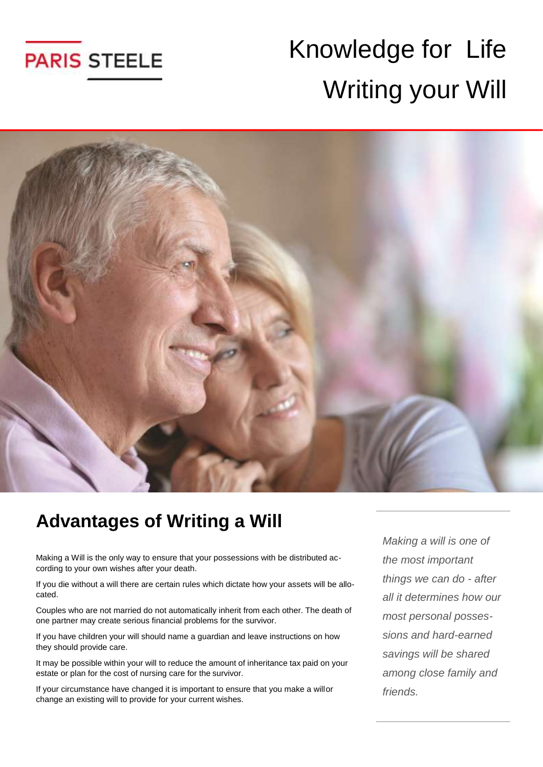

# Knowledge for Life Writing your Will



#### **Advantages of Writing a Will**

Making a Will is the only way to ensure that your possessions with be distributed according to your own wishes after your death.

If you die without a will there are certain rules which dictate how your assets will be allocated.

Couples who are not married do not automatically inherit from each other. The death of one partner may create serious financial problems for the survivor.

If you have children your will should name a guardian and leave instructions on how they should provide care.

It may be possible within your will to reduce the amount of inheritance tax paid on your estate or plan for the cost of nursing care for the survivor.

If your circumstance have changed it is important to ensure that you make a willor change an existing will to provide for your current wishes.

*Making a will is one of the most important things we can do - after all it determines how our most personal possessions and hard-earned savings will be shared among close family and friends.*